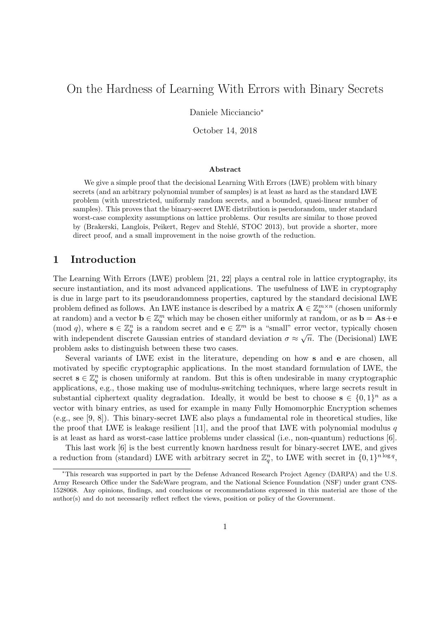# On the Hardness of Learning With Errors with Binary Secrets

Daniele Micciancio<sup>∗</sup>

October 14, 2018

#### Abstract

We give a simple proof that the decisional Learning With Errors (LWE) problem with binary secrets (and an arbitrary polynomial number of samples) is at least as hard as the standard LWE problem (with unrestricted, uniformly random secrets, and a bounded, quasi-linear number of samples). This proves that the binary-secret LWE distribution is pseudorandom, under standard worst-case complexity assumptions on lattice problems. Our results are similar to those proved by (Brakerski, Langlois, Peikert, Regev and Stehlé, STOC 2013), but provide a shorter, more direct proof, and a small improvement in the noise growth of the reduction.

# 1 Introduction

The Learning With Errors (LWE) problem [21, 22] plays a central role in lattice cryptography, its secure instantiation, and its most advanced applications. The usefulness of LWE in cryptography is due in large part to its pseudorandomness properties, captured by the standard decisional LWE problem defined as follows. An LWE instance is described by a matrix  $\mathbf{A} \in \mathbb{Z}_q^{m \times n}$  (chosen uniformly at random) and a vector  $\mathbf{b} \in \mathbb{Z}_q^m$  which may be chosen either uniformly at random, or as  $\mathbf{b} = \mathbf{A}\mathbf{s} + \mathbf{e}$  $p(\text{mod } q)$ , where  $\mathbf{s} \in \mathbb{Z}_q^n$  is a random secret and  $\mathbf{e} \in \mathbb{Z}^m$  is a "small" error vector, typically chosen with independent discrete Gaussian entries of standard deviation  $\sigma \approx \sqrt{n}$ . The (Decisional) LWE problem asks to distinguish between these two cases.

Several variants of LWE exist in the literature, depending on how s and e are chosen, all motivated by specific cryptographic applications. In the most standard formulation of LWE, the secret  $\mathbf{s} \in \mathbb{Z}_q^n$  is chosen uniformly at random. But this is often undesirable in many cryptographic applications, e.g., those making use of modulus-switching techniques, where large secrets result in substantial ciphertext quality degradation. Ideally, it would be best to choose  $\mathbf{s} \in \{0,1\}^n$  as a vector with binary entries, as used for example in many Fully Homomorphic Encryption schemes (e.g., see [9, 8]). This binary-secret LWE also plays a fundamental role in theoretical studies, like the proof that LWE is leakage resilient [11], and the proof that LWE with polynomial modulus  $q$ is at least as hard as worst-case lattice problems under classical (i.e., non-quantum) reductions [6].

This last work [6] is the best currently known hardness result for binary-secret LWE, and gives a reduction from (standard) LWE with arbitrary secret in  $\mathbb{Z}_q^n$ , to LWE with secret in  $\{0,1\}^{n \log q}$ ,

<sup>∗</sup>This research was supported in part by the Defense Advanced Research Project Agency (DARPA) and the U.S. Army Research Office under the SafeWare program, and the National Science Foundation (NSF) under grant CNS-1528068. Any opinions, findings, and conclusions or recommendations expressed in this material are those of the author(s) and do not necessarily reflect reflect the views, position or policy of the Government.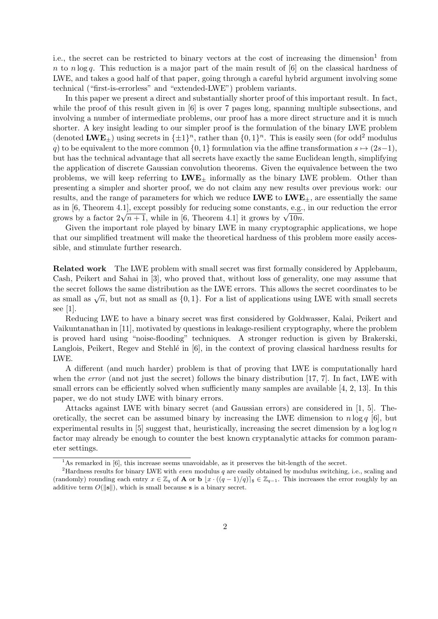i.e., the secret can be restricted to binary vectors at the cost of increasing the dimension<sup>1</sup> from n to n log q. This reduction is a major part of the main result of  $[6]$  on the classical hardness of LWE, and takes a good half of that paper, going through a careful hybrid argument involving some technical ("first-is-errorless" and "extended-LWE") problem variants.

In this paper we present a direct and substantially shorter proof of this important result. In fact, while the proof of this result given in [6] is over 7 pages long, spanning multiple subsections, and involving a number of intermediate problems, our proof has a more direct structure and it is much shorter. A key insight leading to our simpler proof is the formulation of the binary LWE problem (denoted  $\text{LWE}_{\pm}$ ) using secrets in  $\{\pm 1\}^n$ , rather than  $\{0, 1\}^n$ . This is easily seen (for odd<sup>2</sup> modulus q) to be equivalent to the more common  $\{0, 1\}$  formulation via the affine transformation  $s \mapsto (2s-1)$ , but has the technical advantage that all secrets have exactly the same Euclidean length, simplifying the application of discrete Gaussian convolution theorems. Given the equivalence between the two problems, we will keep referring to  $LWE_{\pm}$  informally as the binary LWE problem. Other than presenting a simpler and shorter proof, we do not claim any new results over previous work: our results, and the range of parameters for which we reduce  $\text{LWE}$  to  $\text{LWE}_{\pm}$ , are essentially the same as in [6, Theorem 4.1], except possibly for reducing some constants, e.g., in our reduction the error as in [0, 1 neorem 4.1], except possibly for reducing some constants, e.g., grows by a factor  $2\sqrt{n+1}$ , while in [6, Theorem 4.1] it grows by  $\sqrt{10n}$ .

Given the important role played by binary LWE in many cryptographic applications, we hope that our simplified treatment will make the theoretical hardness of this problem more easily accessible, and stimulate further research.

Related work The LWE problem with small secret was first formally considered by Applebaum, Cash, Peikert and Sahai in [3], who proved that, without loss of generality, one may assume that the secret follows the same distribution as the LWE errors. This allows the secret coordinates to be as small as  $\sqrt{n}$ , but not as small as  $\{0, 1\}$ . For a list of applications using LWE with small secrets see [1].

Reducing LWE to have a binary secret was first considered by Goldwasser, Kalai, Peikert and Vaikuntanathan in [11], motivated by questions in leakage-resilient cryptography, where the problem is proved hard using "noise-flooding" techniques. A stronger reduction is given by Brakerski, Langlois, Peikert, Regev and Stehlé in  $[6]$ , in the context of proving classical hardness results for LWE.

A different (and much harder) problem is that of proving that LWE is computationally hard when the *error* (and not just the secret) follows the binary distribution [17, 7]. In fact, LWE with small errors can be efficiently solved when sufficiently many samples are available [4, 2, 13]. In this paper, we do not study LWE with binary errors.

Attacks against LWE with binary secret (and Gaussian errors) are considered in [1, 5]. Theoretically, the secret can be assumed binary by increasing the LWE dimension to  $n \log q$  [6], but experimental results in  $[5]$  suggest that, heuristically, increasing the secret dimension by a log log n factor may already be enough to counter the best known cryptanalytic attacks for common parameter settings.

<sup>&</sup>lt;sup>1</sup>As remarked in [6], this increase seems unavoidable, as it preserves the bit-length of the secret.

<sup>&</sup>lt;sup>2</sup>Hardness results for binary LWE with *even* modulus  $q$  are easily obtained by modulus switching, i.e., scaling and (randomly) rounding each entry  $x \in \mathbb{Z}_q$  of **A** or **b**  $|x \cdot ((q - 1)/q)|_s \in \mathbb{Z}_{q-1}$ . This increases the error roughly by an additive term  $O(||s||)$ , which is small because s is a binary secret.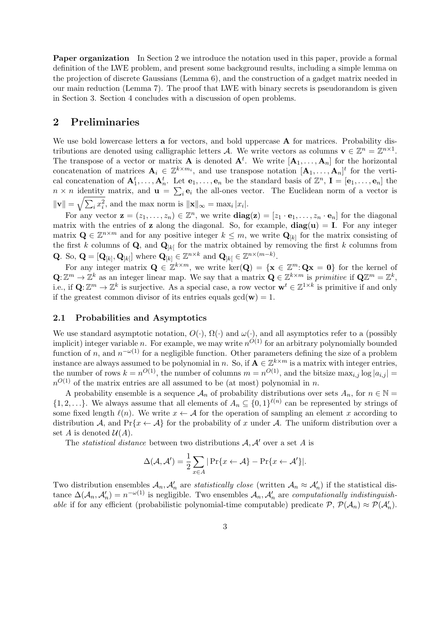Paper organization In Section 2 we introduce the notation used in this paper, provide a formal definition of the LWE problem, and present some background results, including a simple lemma on the projection of discrete Gaussians (Lemma 6), and the construction of a gadget matrix needed in our main reduction (Lemma 7). The proof that LWE with binary secrets is pseudorandom is given in Section 3. Section 4 concludes with a discussion of open problems.

### 2 Preliminaries

We use bold lowercase letters **a** for vectors, and bold uppercase **A** for matrices. Probability distributions are denoted using calligraphic letters A. We write vectors as columns  $\mathbf{v} \in \mathbb{Z}^n = \mathbb{Z}^{n \times 1}$ . The transpose of a vector or matrix **A** is denoted  $A^t$ . We write  $[A_1, \ldots, A_n]$  for the horizontal concatenation of matrices  $A_i \in \mathbb{Z}^{k \times m_i}$ , and use transpose notation  $[A_1, \ldots, A_n]^t$  for the vertical concatenation of  $\mathbf{A}_1^t, \ldots, \mathbf{A}_n^t$ . Let  $\mathbf{e}_1, \ldots, \mathbf{e}_n$  be the standard basis of  $\mathbb{Z}^n$ ,  $\mathbf{I} = [\mathbf{e}_1, \ldots, \mathbf{e}_n]$  the  $n \times n$  identity matrix, and  $\mathbf{u} = \sum_i \mathbf{e}_i$  the all-ones vector. The Euclidean norm of a vector is  $\|\mathbf{v}\| = \sqrt{\sum_i x_i^2}$ , and the max norm is  $\|\mathbf{x}\|_{\infty} = \max_i |x_i|$ .

For any vector  $\mathbf{z} = (z_1, \ldots, z_n) \in \mathbb{Z}^n$ , we write  $\mathbf{diag}(\mathbf{z}) = [z_1 \cdot \mathbf{e}_1, \ldots, z_n \cdot \mathbf{e}_n]$  for the diagonal matrix with the entries of z along the diagonal. So, for example,  $diag(u) = I$ . For any integer matrix  $\mathbf{Q} \in \mathbb{Z}^{n \times m}$  and for any positive integer  $k \leq m$ , we write  $\mathbf{Q}_{[k]}$  for the matrix consisting of the first k columns of Q, and  $\mathbf{Q}_{|k|}$  for the matrix obtained by removing the first k columns from

Q. So,  $\mathbf{Q} = [\mathbf{Q}_{[k]}, \mathbf{Q}_{[k]}]$  where  $\mathbf{Q}_{[k]} \in \mathbb{Z}^{n \times k}$  and  $\mathbf{Q}_{[k]} \in \mathbb{Z}^{n \times (m-k)}$ .

For any integer matrix  $\mathbf{Q} \in \mathbb{Z}^{k \times m}$ , we write ker $(\mathbf{Q}) = {\mathbf{x} \in \mathbb{Z}^m : \mathbf{Q}\mathbf{x} = \mathbf{0}}$  for the kernel of  $\mathbf{Q}: \mathbb{Z}^m \to \mathbb{Z}^k$  as an integer linear map. We say that a matrix  $\mathbf{Q} \in \mathbb{Z}^{k \times m}$  is primitive if  $\mathbf{Q}\mathbb{Z}^m = \mathbb{Z}^k$ , i.e., if  $\mathbf{Q} \colon \mathbb{Z}^m \to \mathbb{Z}^k$  is surjective. As a special case, a row vector  $\mathbf{w}^t \in \mathbb{Z}^{1 \times k}$  is primitive if and only if the greatest common divisor of its entries equals  $gcd(\mathbf{w}) = 1$ .

### 2.1 Probabilities and Asymptotics

We use standard asymptotic notation,  $O(\cdot)$ ,  $\Omega(\cdot)$  and  $\omega(\cdot)$ , and all asymptotics refer to a (possibly implicit) integer variable n. For example, we may write  $n^{O(1)}$  for an arbitrary polynomially bounded function of n, and  $n^{-\omega(1)}$  for a negligible function. Other parameters defining the size of a problem instance are always assumed to be polynomial in n. So, if  $A \in \mathbb{Z}^{k \times m}$  is a matrix with integer entries, the number of rows  $k = n^{O(1)}$ , the number of columns  $m = n^{O(1)}$ , and the bitsize  $\max_{i,j} \log |a_{i,j}| =$  $n^{O(1)}$  of the matrix entries are all assumed to be (at most) polynomial in n.

A probability ensemble is a sequence  $A_n$  of probability distributions over sets  $A_n$ , for  $n \in \mathbb{N}$  $\{1, 2, ...\}$ . We always assume that all elements of  $A_n \subseteq \{0,1\}^{\ell(n)}$  can be represented by strings of some fixed length  $\ell(n)$ . We write  $x \leftarrow A$  for the operation of sampling an element x according to distribution A, and  $Pr\{x \leftarrow A\}$  for the probability of x under A. The uniform distribution over a set A is denoted  $\mathcal{U}(A)$ .

The *statistical distance* between two distributions  $A, A'$  over a set A is

$$
\Delta(\mathcal{A}, \mathcal{A}') = \frac{1}{2} \sum_{x \in A} |\Pr\{x \leftarrow \mathcal{A}\} - \Pr\{x \leftarrow \mathcal{A}'\}|.
$$

Two distribution ensembles  $A_n$ ,  $A'_n$  are *statistically close* (written  $A_n \approx A'_n$ ) if the statistical distance  $\Delta(\mathcal{A}_n, \mathcal{A}'_n) = n^{-\omega(1)}$  is negligible. Two ensembles  $\mathcal{A}_n, \mathcal{A}'_n$  are computationally indistinguishable if for any efficient (probabilistic polynomial-time computable) predicate  $P$ ,  $P(A_n) \approx P(A'_n)$ .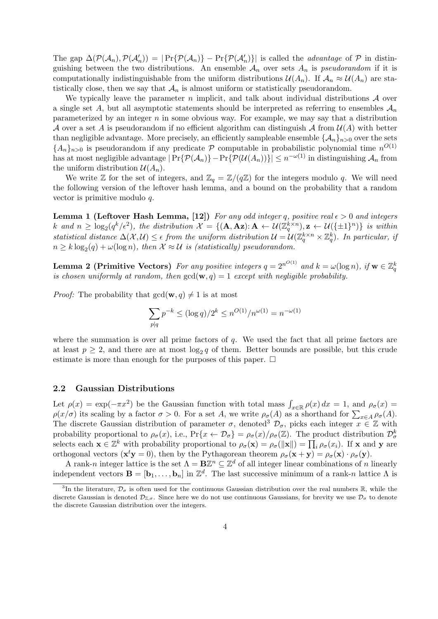The gap  $\Delta(\mathcal{P}(\mathcal{A}_n), \mathcal{P}(\mathcal{A}'_n)) = |\Pr{\mathcal{P}(\mathcal{A}_n)\} - \Pr{\mathcal{P}(\mathcal{A}'_n)\}|$  is called the *advantage* of  $\mathcal P$  in distinguishing between the two distributions. An ensemble  $A_n$  over sets  $A_n$  is *pseudorandom* if it is computationally indistinguishable from the uniform distributions  $\mathcal{U}(A_n)$ . If  $\mathcal{A}_n \approx \mathcal{U}(A_n)$  are statistically close, then we say that  $\mathcal{A}_n$  is almost uniform or statistically pseudorandom.

We typically leave the parameter n implicit, and talk about individual distributions  $\mathcal A$  over a single set A, but all asymptotic statements should be interpreted as referring to ensembles  $A_n$ parameterized by an integer  $n$  in some obvious way. For example, we may say that a distribution A over a set A is pseudorandom if no efficient algorithm can distinguish A from  $\mathcal{U}(A)$  with better than negligible advantage. More precisely, an efficiently sampleable ensemble  $\{\mathcal{A}_n\}_{n>0}$  over the sets  ${A_n}_{n>0}$  is pseudorandom if any predicate P computable in probabilistic polynomial time  $n^{O(1)}$ has at most negligible advantage  $|\Pr{\{\mathcal{P}(\mathcal{A}_n)\}}- \Pr{\{\mathcal{P}(\mathcal{U}(A_n))\}}| \leq n^{-\omega(1)}$  in distinguishing  $\mathcal{A}_n$  from the uniform distribution  $\mathcal{U}(A_n)$ .

We write  $\mathbb Z$  for the set of integers, and  $\mathbb Z_q = \mathbb Z/(q\mathbb Z)$  for the integers modulo q. We will need the following version of the leftover hash lemma, and a bound on the probability that a random vector is primitive modulo q.

**Lemma 1 (Leftover Hash Lemma, [12])** For any odd integer q, positive real  $\epsilon > 0$  and integers k and  $n \geq \log_2(q^k/\epsilon^2)$ , the distribution  $\mathcal{X} = \{(\mathbf{A}, \mathbf{Az}) : \mathbf{A} \leftarrow \mathcal{U}(\mathbb{Z}_q^{k \times n}), \mathbf{z} \leftarrow \mathcal{U}(\{\pm 1\}^n)\}\$ is within statistical distance  $\Delta(\mathcal{X}, \mathcal{U}) \leq \epsilon$  from the uniform distribution  $\mathcal{U} = \mathcal{U}(\mathbb{Z}_q^{k \times n} \times \mathbb{Z}_q^k)$ . In particular, if  $n \geq k \log_2(q) + \omega(\log n)$ , then  $\mathcal{X} \approx \mathcal{U}$  is (statistically) pseudorandom.

**Lemma 2 (Primitive Vectors)** For any positive integers  $q = 2^{n^{O(1)}}$  and  $k = \omega(\log n)$ , if  $\mathbf{w} \in \mathbb{Z}_q^k$ is chosen uniformly at random, then  $gcd(\mathbf{w}, q) = 1$  except with negligible probability.

*Proof:* The probability that  $gcd(\mathbf{w}, q) \neq 1$  is at most

$$
\sum_{p|q} p^{-k} \le (\log q) / 2^k \le n^{O(1)} / n^{\omega(1)} = n^{-\omega(1)}
$$

where the summation is over all prime factors of  $q$ . We used the fact that all prime factors are at least  $p \geq 2$ , and there are at most  $\log_2 q$  of them. Better bounds are possible, but this crude estimate is more than enough for the purposes of this paper.  $\Box$ 

### 2.2 Gaussian Distributions

Let  $\rho(x) = \exp(-\pi x^2)$  be the Gaussian function with total mass  $\int_{x \in \mathbb{R}} \rho(x) dx = 1$ , and  $\rho_{\sigma}(x) =$  $\rho(x/\sigma)$  its scaling by a factor  $\sigma > 0$ . For a set A, we write  $\rho_{\sigma}(A)$  as a shorthand for  $\sum_{x \in A} \rho_{\sigma}(A)$ . The discrete Gaussian distribution of parameter  $\sigma$ , denoted<sup>3</sup>  $\mathcal{D}_{\sigma}$ , picks each integer  $x \in \mathbb{Z}$  with probability proportional to  $\rho_{\sigma}(x)$ , i.e.,  $Pr\{x \leftarrow \mathcal{D}_{\sigma}\} = \rho_{\sigma}(x)/\rho_{\sigma}(\mathbb{Z})$ . The product distribution  $\mathcal{D}_{\sigma}^{k}$ selects each  $\mathbf{x} \in \mathbb{Z}^k$  with probability proportional to  $\rho_{\sigma}(\mathbf{x}) = \rho_{\sigma}(\|\mathbf{x}\|) = \prod_i \rho_{\sigma}(x_i)$ . If  $\mathbf{x}$  and  $\mathbf{y}$  are orthogonal vectors  $(\mathbf{x}^t \mathbf{y} = 0)$ , then by the Pythagorean theorem  $\rho_{\sigma}(\mathbf{x} + \mathbf{y}) = \rho_{\sigma}(\mathbf{x}) \cdot \rho_{\sigma}(\mathbf{y})$ .

A rank-n integer lattice is the set  $\Lambda = \mathbf{B}\mathbb{Z}^n \subseteq \mathbb{Z}^d$  of all integer linear combinations of n linearly independent vectors  $\mathbf{B} = [\mathbf{b}_1, \dots, \mathbf{b}_n]$  in  $\mathbb{Z}^d$ . The last successive minimum of a rank-n lattice  $\Lambda$  is

<sup>&</sup>lt;sup>3</sup>In the literature,  $\mathcal{D}_{\sigma}$  is often used for the continuous Gaussian distribution over the real numbers R, while the discrete Gaussian is denoted  $\mathcal{D}_{\mathbb{Z}}$ , Since here we do not use continuous Gaussians, for brevity we use  $\mathcal{D}_{\sigma}$  to denote the discrete Gaussian distribution over the integers.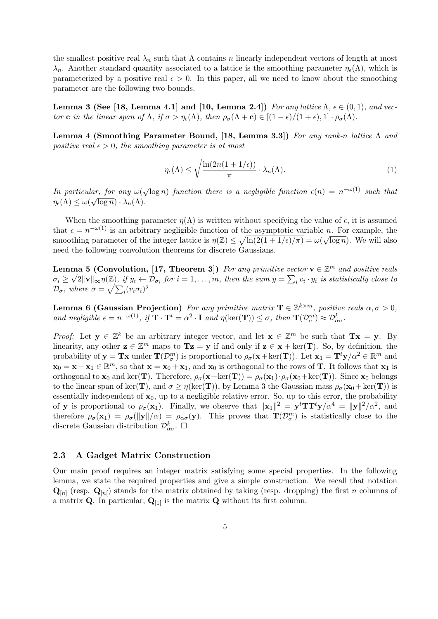the smallest positive real  $\lambda_n$  such that  $\Lambda$  contains n linearly independent vectors of length at most  $\lambda_n$ . Another standard quantity associated to a lattice is the smoothing parameter  $\eta_{\epsilon}(\Lambda)$ , which is parameterized by a positive real  $\epsilon > 0$ . In this paper, all we need to know about the smoothing parameter are the following two bounds.

Lemma 3 (See [18, Lemma 4.1] and [10, Lemma 2.4]) For any lattice  $\Lambda$ ,  $\epsilon \in (0,1)$ , and vector c in the linear span of  $\Lambda$ , if  $\sigma > \eta_{\epsilon}(\Lambda)$ , then  $\rho_{\sigma}(\Lambda + c) \in [(1 - \epsilon)/(1 + \epsilon), 1] \cdot \rho_{\sigma}(\Lambda)$ .

Lemma 4 (Smoothing Parameter Bound, [18, Lemma 3.3]) For any rank-n lattice  $\Lambda$  and positive real  $\epsilon > 0$ , the smoothing parameter is at most

$$
\eta_{\epsilon}(\Lambda) \le \sqrt{\frac{\ln(2n(1+1/\epsilon))}{\pi}} \cdot \lambda_n(\Lambda). \tag{1}
$$

In particular, for any  $\omega$ √  $\lim_{n \to \infty} \frac{\log n}{\log n}$  function there is a negligible function  $\epsilon(n) = n^{-\omega(1)}$  such that  $\eta_{\epsilon}(\Lambda) \leq \omega(\sqrt{\log n}) \cdot \lambda_n(\Lambda).$ 

When the smoothing parameter  $\eta(\Lambda)$  is written without specifying the value of  $\epsilon$ , it is assumed that  $\epsilon = n^{-\omega(1)}$  is an arbitrary negligible function of the asymptotic variable n. For example, the smoothing parameter of the integer lattice is  $\eta(\mathbb{Z}) \leq \sqrt{\ln(2(1+1/\epsilon)/\pi)} = \omega(\sqrt{\log n})$ . We will also need the following convolution theorems for discrete Gaussians.

**Lemma 5 (Convolution, [17, Theorem 3])** For any primitive vector  $\mathbf{v} \in \mathbb{Z}^m$  and positive reals  $\sigma_i \geq$ **The S** (Convolution, [17, 1 neorem 3]) For any primitive vector  $\mathbf{v} \in \mathbb{Z}^n$  and positive reats  $\sqrt{2} ||\mathbf{v}||_{\infty} \eta(\mathbb{Z})$ , if  $y_i \leftarrow \mathcal{D}_{\sigma_i}$  for  $i = 1, ..., m$ , then the sum  $y = \sum_i v_i \cdot y_i$  is statistically close to  $\mathcal{D}_{\sigma}$ , where  $\sigma = \sqrt{\sum_i (v_i \sigma_i)^2}$ 

**Lemma 6 (Gaussian Projection)** For any primitive matrix  $T \in \mathbb{Z}^{k \times m}$ , positive reals  $\alpha, \sigma > 0$ , and negligible  $\epsilon = n^{-\omega(1)}$ , if  $\mathbf{T} \cdot \mathbf{T}^t = \alpha^2 \cdot \mathbf{I}$  and  $\eta(\ker(\mathbf{T})) \leq \sigma$ , then  $\mathbf{T}(\mathcal{D}_{\sigma}^m) \approx \mathcal{D}_{\alpha\sigma}^k$ .

*Proof:* Let  $y \in \mathbb{Z}^k$  be an arbitrary integer vector, and let  $x \in \mathbb{Z}^m$  be such that  $Tx = y$ . By linearity, any other  $z \in \mathbb{Z}^m$  maps to  $Tz = y$  if and only if  $z \in x + \text{ker}(T)$ . So, by definition, the probability of  $y = Tx$  under  $T(\mathcal{D}_{\sigma}^m)$  is proportional to  $\rho_{\sigma}(x + \ker(T))$ . Let  $x_1 = T^t y/\alpha^2 \in \mathbb{R}^m$  and  $\mathbf{x}_0 = \mathbf{x} - \mathbf{x}_1 \in \mathbb{R}^m$ , so that  $\mathbf{x} = \mathbf{x}_0 + \mathbf{x}_1$ , and  $\mathbf{x}_0$  is orthogonal to the rows of **T**. It follows that  $\mathbf{x}_1$  is orthogonal to  $\mathbf{x}_0$  and ker(T). Therefore,  $\rho_{\sigma}(\mathbf{x}+\text{ker}(\mathbf{T})) = \rho_{\sigma}(\mathbf{x}_1)\cdot \rho_{\sigma}(\mathbf{x}_0+\text{ker}(\mathbf{T}))$ . Since  $\mathbf{x}_0$  belongs to the linear span of ker(T), and  $\sigma \geq \eta(\ker(T))$ , by Lemma 3 the Gaussian mass  $\rho_{\sigma}(\mathbf{x}_0 + \ker(T))$  is essentially independent of  $x_0$ , up to a negligible relative error. So, up to this error, the probability of **y** is proportional to  $\rho_{\sigma}(\mathbf{x}_1)$ . Finally, we observe that  $\|\mathbf{x}_1\|^2 = \mathbf{y}^t \mathbf{T} \mathbf{T}^t \mathbf{y}/\alpha^4 = \|\mathbf{y}\|^2/\alpha^2$ , and therefore  $\rho_{\sigma}(\mathbf{x}_1) = \rho_{\sigma}(\|\mathbf{y}\|/\alpha) = \rho_{\alpha\sigma}(\mathbf{y})$ . This proves that  $\mathbf{T}(\mathcal{D}_{\sigma}^m)$  is statistically close to the discrete Gaussian distribution  $\mathcal{D}^k_{\alpha\sigma}$ .  $\Box$ 

#### 2.3 A Gadget Matrix Construction

Our main proof requires an integer matrix satisfying some special properties. In the following lemma, we state the required properties and give a simple construction. We recall that notation  $\mathbf{Q}_{[n]}$  (resp.  $\mathbf{Q}_{[n]}$ ) stands for the matrix obtained by taking (resp. dropping) the first n columns of a matrix **Q**. In particular,  $\mathbf{Q}_{11}$  is the matrix **Q** without its first column.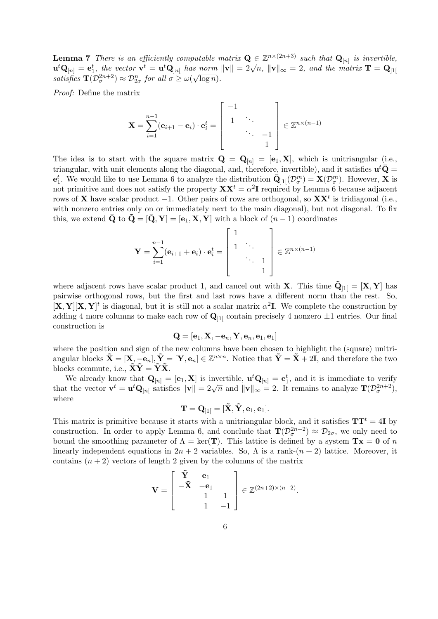**Lemma 7** There is an efficiently computable matrix  $Q \in \mathbb{Z}^{n \times (2n+3)}$  such that  $Q_{[n]}$  is invertible, **Definite**  $\mathbf{u} \cdot \mathbf{u} = \mathbf{u} \cdot \mathbf{v} = \mathbf{u} \cdot \mathbf{v} = \mathbf{u} \cdot \mathbf{v} = \mathbf{u} \cdot \mathbf{v} = \mathbf{u} \cdot \mathbf{v} = \mathbf{u} \cdot \mathbf{v} = \mathbf{u} \cdot \mathbf{v} = \mathbf{v} \cdot \mathbf{v} = \mathbf{v} \cdot \mathbf{v} = \mathbf{v} \cdot \mathbf{v} = \mathbf{v} \cdot \mathbf{v} = \mathbf{v} \cdot \mathbf{v} = \mathbf{v} \cdot \mathbf{v}$ satisfies  $\mathbf{T}(\mathcal{D}_{\sigma}^{2n+2}) \approx \mathcal{D}_{2\sigma}^{n}$  for all  $\sigma \geq \omega(\sqrt{\log n}).$ 

Proof: Define the matrix

$$
\mathbf{X} = \sum_{i=1}^{n-1} (\mathbf{e}_{i+1} - \mathbf{e}_i) \cdot \mathbf{e}_i^t = \begin{bmatrix} -1 & & \\ 1 & \ddots & \\ & & \ddots & -1 \\ & & & 1 \end{bmatrix} \in \mathbb{Z}^{n \times (n-1)}
$$

The idea is to start with the square matrix  $\bar{\mathbf{Q}} = \bar{\mathbf{Q}}_{[n]} = [\mathbf{e}_1, \mathbf{X}]$ , which is unitriangular (i.e., triangular, with unit elements along the diagonal, and, therefore, invertible), and it satisfies  $\mathbf{u}^t\bar{\mathbf{Q}} =$  $\mathbf{e}_1^t$ . We would like to use Lemma 6 to analyze the distribution  $\bar{\mathbf{Q}}_{11}(\mathcal{D}_{\sigma}^m) = \mathbf{X}(\mathcal{D}_{\sigma}^m)$ . However, X is not primitive and does not satisfy the property  $\mathbf{X} \mathbf{X}^t = \alpha^2 \mathbf{I}$  required by Lemma 6 because adjacent rows of **X** have scalar product  $-1$ . Other pairs of rows are orthogonal, so  $\mathbf{X} \mathbf{X}^t$  is tridiagonal (i.e., with nonzero entries only on or immediately next to the main diagonal), but not diagonal. To fix this, we extend  $\bar{Q}$  to  $Q = [\bar{Q}, Y] = [\mathbf{e}_1, X, Y]$  with a block of  $(n - 1)$  coordinates

$$
\mathbf{Y} = \sum_{i=1}^{n-1} (\mathbf{e}_{i+1} + \mathbf{e}_i) \cdot \mathbf{e}_i^t = \begin{bmatrix} 1 & & \\ 1 & \ddots & \\ & \ddots & 1 \\ & & 1 \end{bmatrix} \in \mathbb{Z}^{n \times (n-1)}
$$

where adjacent rows have scalar product 1, and cancel out with **X**. This time  $\tilde{Q}_{11} = [X, Y]$  has pairwise orthogonal rows, but the first and last rows have a different norm than the rest. So,  $[\mathbf{X}, \mathbf{Y}]^t$  is diagonal, but it is still not a scalar matrix  $\alpha^2 \mathbf{I}$ . We complete the construction by adding 4 more columns to make each row of  $\mathbf{Q}_{11}$  contain precisely 4 nonzero  $\pm 1$  entries. Our final construction is

$$
\mathbf{Q} = [\mathbf{e}_1, \mathbf{X}, -\mathbf{e}_n, \mathbf{Y}, \mathbf{e}_n, \mathbf{e}_1, \mathbf{e}_1]
$$

where the position and sign of the new columns have been chosen to highlight the (square) unitriangular blocks  $\tilde{\mathbf{X}} = [\mathbf{X}, -\mathbf{e}_n], \tilde{\mathbf{Y}} = [\mathbf{Y}, \mathbf{e}_n] \in \mathbb{Z}^{n \times n}$ . Notice that  $\tilde{\mathbf{Y}} = \tilde{\mathbf{X}} + 2\mathbf{I}$ , and therefore the two blocks commute, i.e.,  $\tilde{\mathbf{X}}\tilde{\mathbf{Y}} = \tilde{\mathbf{Y}}\tilde{\mathbf{X}}$ .

We already know that  $\mathbf{Q}_{[n]} = [\mathbf{e}_1, \mathbf{X}]$  is invertible,  $\mathbf{u}^t \mathbf{Q}_{[n]} = \mathbf{e}_1^t$ , and it is immediate to verify We already know that  $\mathbf{Q}_{[n]} = [\mathbf{e}_1, \mathbf{X}]$  is invertible,  $\mathbf{d} \mathbf{Q}_{[n]} = \mathbf{e}_1$ , and it is immediate to verify<br>that the vector  $\mathbf{v}^t = \mathbf{u}^t \mathbf{Q}_{[n]}$  satisfies  $\|\mathbf{v}\| = 2\sqrt{n}$  and  $\|\mathbf{v}\|_{\infty} = 2$ . It r where

$$
\mathbf{T} = \mathbf{Q}_{]1[} = [\mathbf{\tilde{X}}, \mathbf{\tilde{Y}}, \mathbf{e}_1, \mathbf{e}_1].
$$

This matrix is primitive because it starts with a unitriangular block, and it satisfies  $TT<sup>t</sup> = 4I$  by construction. In order to apply Lemma 6, and conclude that  $\mathbf{T}(\mathcal{D}_{\sigma}^{2n+2}) \approx \mathcal{D}_{2\sigma}$ , we only need to bound the smoothing parameter of  $\Lambda = \text{ker}(\mathbf{T})$ . This lattice is defined by a system  $\mathbf{T} \mathbf{x} = \mathbf{0}$  of n linearly independent equations in  $2n + 2$  variables. So,  $\Lambda$  is a rank- $(n + 2)$  lattice. Moreover, it contains  $(n + 2)$  vectors of length 2 given by the columns of the matrix

$$
\mathbf{V} = \begin{bmatrix} \tilde{\mathbf{Y}} & \mathbf{e}_1 \\ -\tilde{\mathbf{X}} & -\mathbf{e}_1 \\ 1 & 1 \\ 1 & -1 \end{bmatrix} \in \mathbb{Z}^{(2n+2)\times(n+2)}.
$$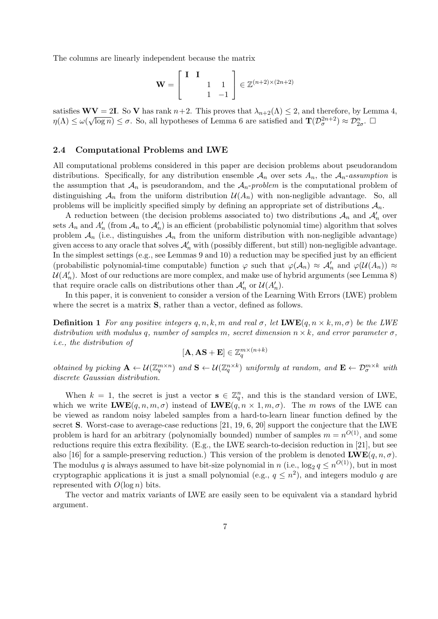The columns are linearly independent because the matrix

$$
\mathbf{W} = \begin{bmatrix} \mathbf{I} & \mathbf{I} \\ & 1 & 1 \\ & 1 & -1 \end{bmatrix} \in \mathbb{Z}^{(n+2)\times(2n+2)}
$$

satisfies  $\mathbf{W} = 2\mathbf{I}$ . So V has rank  $n+2$ . This proves that  $\lambda_{n+2}(\Lambda) \leq 2$ , and therefore, by Lemma 4,  $\eta(\Lambda) \leq \omega(\sqrt{\log n}) \leq \sigma$ . So, all hypotheses of Lemma 6 are satisfied and  $\mathbf{T}(\mathcal{D}_{\sigma}^{2n+2}) \approx \mathcal{D}_{2\sigma}^n$ .

#### 2.4 Computational Problems and LWE

All computational problems considered in this paper are decision problems about pseudorandom distributions. Specifically, for any distribution ensemble  $A_n$  over sets  $A_n$ , the  $A_n$ -assumption is the assumption that  $\mathcal{A}_n$  is pseudorandom, and the  $\mathcal{A}_n$ -problem is the computational problem of distinguishing  $\mathcal{A}_n$  from the uniform distribution  $\mathcal{U}(\mathcal{A}_n)$  with non-negligible advantage. So, all problems will be implicitly specified simply by defining an appropriate set of distributions  $A_n$ .

A reduction between (the decision problems associated to) two distributions  $\mathcal{A}_n$  and  $\mathcal{A}'_n$  over sets  $A_n$  and  $A'_n$  (from  $A_n$  to  $A'_n$ ) is an efficient (probabilistic polynomial time) algorithm that solves problem  $A_n$  (i.e., distinguishes  $A_n$  from the uniform distribution with non-negligible advantage) given access to any oracle that solves  $\mathcal{A}'_n$  with (possibly different, but still) non-negligible advantage. In the simplest settings (e.g., see Lemmas 9 and 10) a reduction may be specified just by an efficient (probabilistic polynomial-time computable) function  $\varphi$  such that  $\varphi(\mathcal{A}_n) \approx \mathcal{A}'_n$  and  $\varphi(\mathcal{U}(A_n)) \approx$  $\mathcal{U}(A'_n)$ . Most of our reductions are more complex, and make use of hybrid arguments (see Lemma 8) that require oracle calls on distributions other than  $\mathcal{A}'_n$  or  $\mathcal{U}(A'_n)$ .

In this paper, it is convenient to consider a version of the Learning With Errors (LWE) problem where the secret is a matrix S, rather than a vector, defined as follows.

**Definition 1** For any positive integers  $q, n, k, m$  and real  $\sigma$ , let  $\mathbf{LWE}(q, n \times k, m, \sigma)$  be the LWE distribution with modulus q, number of samples m, secret dimension  $n \times k$ , and error parameter  $\sigma$ . i.e., the distribution of

$$
[\mathbf{A},\mathbf{A}\mathbf{S}+\mathbf{E}]\in\mathbb{Z}_q^{m\times (n+k)}
$$

obtained by picking  $\mathbf{A} \leftarrow \mathcal{U}(\mathbb{Z}_q^{m \times n})$  and  $\mathbf{S} \leftarrow \mathcal{U}(\mathbb{Z}_q^{n \times k})$  uniformly at random, and  $\mathbf{E} \leftarrow \mathcal{D}_{\sigma}^{m \times k}$  with discrete Gaussian distribution.

When  $k = 1$ , the secret is just a vector  $s \in \mathbb{Z}_q^n$ , and this is the standard version of LWE, which we write  $\mathbf{LWE}(q, n, m, \sigma)$  instead of  $\mathbf{LWE}(q, n \times 1, m, \sigma)$ . The m rows of the LWE can be viewed as random noisy labeled samples from a hard-to-learn linear function defined by the secret S. Worst-case to average-case reductions [21, 19, 6, 20] support the conjecture that the LWE problem is hard for an arbitrary (polynomially bounded) number of samples  $m = n^{O(1)}$ , and some reductions require this extra flexibility. (E.g., the LWE search-to-decision reduction in [21], but see also [16] for a sample-preserving reduction.) This version of the problem is denoted  $\mathbf{LWE}(q, n, \sigma)$ . The modulus q is always assumed to have bit-size polynomial in n (i.e.,  $\log_2 q \le n^{O(1)}$ ), but in most cryptographic applications it is just a small polynomial (e.g.,  $q \leq n^2$ ), and integers modulo q are represented with  $O(\log n)$  bits.

The vector and matrix variants of LWE are easily seen to be equivalent via a standard hybrid argument.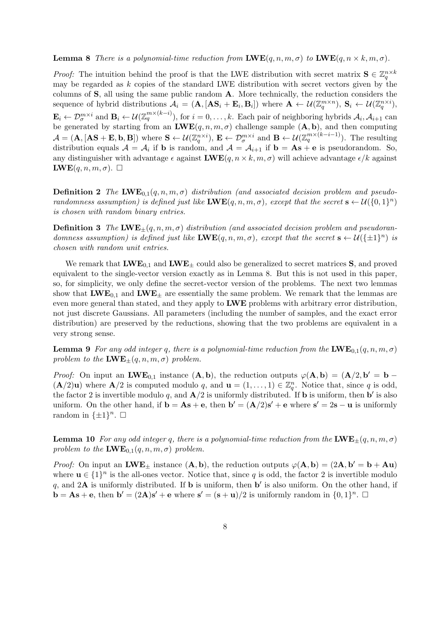### **Lemma 8** There is a polynomial-time reduction from  $\mathbf{LWE}(q, n, m, \sigma)$  to  $\mathbf{LWE}(q, n \times k, m, \sigma)$ .

*Proof:* The intuition behind the proof is that the LWE distribution with secret matrix  $S \in \mathbb{Z}_q^{n \times k}$ may be regarded as  $k$  copies of the standard LWE distribution with secret vectors given by the columns of S, all using the same public random A. More technically, the reduction considers the sequence of hybrid distributions  $\mathcal{A}_i = (\mathbf{A}, [\mathbf{A}\mathbf{S}_i + \mathbf{E}_i, \mathbf{B}_i])$  where  $\mathbf{A} \leftarrow \mathcal{U}(\mathbb{Z}_q^{m \times n})$ ,  $\mathbf{S}_i \leftarrow \mathcal{U}(\mathbb{Z}_q^{n \times i})$ ,  $\mathbf{E}_i \leftarrow \mathcal{D}_{\sigma}^{m \times i}$  and  $\mathbf{B}_i \leftarrow \mathcal{U}(\mathbb{Z}_q^{m \times (k-i)})$ , for  $i = 0, \ldots, k$ . Each pair of neighboring hybrids  $\mathcal{A}_i, \mathcal{A}_{i+1}$  can be generated by starting from an  $\mathbf{LWE}(q, n, m, \sigma)$  challenge sample  $(\mathbf{A}, \mathbf{b})$ , and then computing  $\mathcal{A} = (\mathbf{A}, [\mathbf{AS} + \mathbf{E}, \mathbf{b}, \mathbf{B}])$  where  $\mathbf{S} \leftarrow \mathcal{U}(\mathbb{Z}_q^{n \times i})$ ,  $\mathbf{E} \leftarrow \mathcal{D}_{\sigma}^{m \times i}$  and  $\mathbf{B} \leftarrow \mathcal{U}(\mathbb{Z}_q^{m \times (k-i-1)})$ . The resulting distribution equals  $A = A_i$  if **b** is random, and  $A = A_{i+1}$  if  $\mathbf{b} = \mathbf{A}\mathbf{s} + \mathbf{e}$  is pseudorandom. So, any distinguisher with advantage  $\epsilon$  against  $\mathbf{LWE}(q, n \times k, m, \sigma)$  will achieve advantage  $\epsilon/k$  against  $\mathbf{LWE}(q, n, m, \sigma)$ .  $\Box$ 

**Definition 2** The LWE<sub>0,1</sub> $(q, n, m, \sigma)$  distribution (and associated decision problem and pseudorandomness assumption) is defined just like  $\mathbf{LWE}(q, n, m, \sigma)$ , except that the secret  $\mathbf{s} \leftarrow \mathcal{U}(\{0, 1\}^n)$ is chosen with random binary entries.

**Definition 3** The LWE<sub>+</sub> $(q, n, m, \sigma)$  distribution (and associated decision problem and pseudorandomness assumption) is defined just like  $\mathbf{LWE}(q, n, m, \sigma)$ , except that the secret  $\mathbf{s} \leftarrow \mathcal{U}(\{\pm 1\}^n)$  is chosen with random unit entries.

We remark that  $\mathbf{LWE}_{0,1}$  and  $\mathbf{LWE}_{\pm}$  could also be generalized to secret matrices **S**, and proved equivalent to the single-vector version exactly as in Lemma 8. But this is not used in this paper, so, for simplicity, we only define the secret-vector version of the problems. The next two lemmas show that  $\mathbf{LWE}_{0,1}$  and  $\mathbf{LWE}_{+}$  are essentially the same problem. We remark that the lemmas are even more general than stated, and they apply to **LWE** problems with arbitrary error distribution, not just discrete Gaussians. All parameters (including the number of samples, and the exact error distribution) are preserved by the reductions, showing that the two problems are equivalent in a very strong sense.

**Lemma 9** For any odd integer q, there is a polynomial-time reduction from the  $\mathbf{LWE}_{0,1}(q, n, m, \sigma)$ problem to the  $\text{LWE}_{+}(q, n, m, \sigma)$  problem.

*Proof:* On input an **LWE**<sub>0,1</sub> instance  $(A, b)$ , the reduction outputs  $\varphi(A, b) = (A/2, b' = b (\mathbf{A}/2)\mathbf{u}$ ) where  $\mathbf{A}/2$  is computed modulo q, and  $\mathbf{u} = (1,\ldots,1) \in \mathbb{Z}_q^n$ . Notice that, since q is odd, the factor 2 is invertible modulo q, and  $\mathbf{A}/2$  is uniformly distributed. If **b** is uniform, then **b**' is also uniform. On the other hand, if  $\mathbf{b} = \mathbf{A}\mathbf{s} + \mathbf{e}$ , then  $\mathbf{b}' = (\mathbf{A}/2)\mathbf{s}' + \mathbf{e}$  where  $\mathbf{s}' = 2\mathbf{s} - \mathbf{u}$  is uniformly random in  $\{\pm 1\}^n$ .  $\square$ 

**Lemma 10** For any odd integer q, there is a polynomial-time reduction from the  $\mathbf{LWE}_{+}(q, n, m, \sigma)$ problem to the  $\text{LWE}_{0,1}(q, n, m, \sigma)$  problem.

*Proof:* On input an  $\mathbf{LWE}_{\pm}$  instance  $(\mathbf{A}, \mathbf{b})$ , the reduction outputs  $\varphi(\mathbf{A}, \mathbf{b}) = (2\mathbf{A}, \mathbf{b}' = \mathbf{b} + \mathbf{A}\mathbf{u})$ where  $\mathbf{u} \in \{1\}^n$  is the all-ones vector. Notice that, since q is odd, the factor 2 is invertible modulo q, and 2A is uniformly distributed. If **b** is uniform, then  $\mathbf{b}'$  is also uniform. On the other hand, if  $\mathbf{b} = \mathbf{A}\mathbf{s} + \mathbf{e}$ , then  $\mathbf{b}' = (2\mathbf{A})\mathbf{s}' + \mathbf{e}$  where  $\mathbf{s}' = (\mathbf{s} + \mathbf{u})/2$  is uniformly random in  $\{0, 1\}^n$ .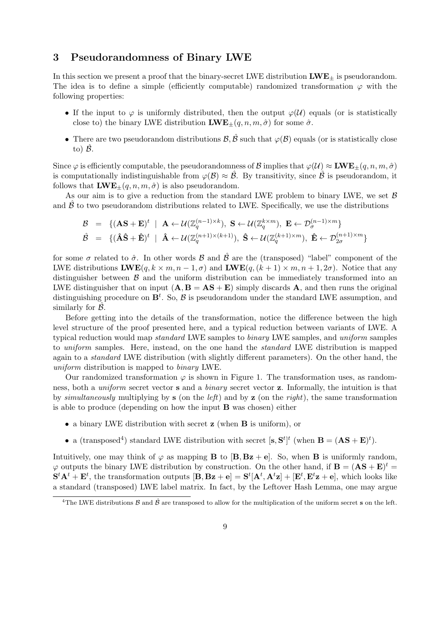# 3 Pseudorandomness of Binary LWE

In this section we present a proof that the binary-secret LWE distribution  $LWE_{+}$  is pseudorandom. The idea is to define a simple (efficiently computable) randomized transformation  $\varphi$  with the following properties:

- If the input to  $\varphi$  is uniformly distributed, then the output  $\varphi(\mathcal{U})$  equals (or is statistically close to) the binary LWE distribution  $\mathbf{LWE}_{\pm}(q, n, m, \hat{\sigma})$  for some  $\hat{\sigma}$ .
- There are two pseudorandom distributions  $\mathcal{B}, \hat{\mathcal{B}}$  such that  $\varphi(\mathcal{B})$  equals (or is statistically close to)  $\mathcal{B}$ .

Since  $\varphi$  is efficiently computable, the pseudorandomness of B implies that  $\varphi(\mathcal{U}) \approx \mathbf{LWE}_{\pm}(q, n, m, \hat{\sigma})$ is computationally indistinguishable from  $\varphi(\mathcal{B}) \approx \mathcal{B}$ . By transitivity, since  $\mathcal{B}$  is pseudorandom, it follows that  $\mathbf{LWE}_{\pm}(q, n, m, \hat{\sigma})$  is also pseudorandom.

As our aim is to give a reduction from the standard LWE problem to binary LWE, we set  $\beta$ and  $\hat{\beta}$  to two pseudorandom distributions related to LWE. Specifically, we use the distributions

$$
\begin{array}{rcl}\n\mathcal{B} & = & \{(\mathbf{A}\mathbf{S}+\mathbf{E})^t \mid \mathbf{A} \leftarrow \mathcal{U}(\mathbb{Z}_q^{(n-1)\times k}), \ \mathbf{S} \leftarrow \mathcal{U}(\mathbb{Z}_q^{k\times m}), \ \mathbf{E} \leftarrow \mathcal{D}_{\sigma}^{(n-1)\times m}\} \\
\hat{\mathcal{B}} & = & \{(\hat{\mathbf{A}}\hat{\mathbf{S}}+\hat{\mathbf{E}})^t \mid \ \hat{\mathbf{A}} \leftarrow \mathcal{U}(\mathbb{Z}_q^{(n+1)\times (k+1)}), \ \hat{\mathbf{S}} \leftarrow \mathcal{U}(\mathbb{Z}_q^{(k+1)\times m}), \ \hat{\mathbf{E}} \leftarrow \mathcal{D}_{2\sigma}^{(n+1)\times m}\}\n\end{array}
$$

for some  $\sigma$  related to  $\hat{\sigma}$ . In other words  $\hat{\mathcal{B}}$  and  $\hat{\mathcal{B}}$  are the (transposed) "label" component of the LWE distributions  $\mathbf{LWE}(q, k \times m, n-1, \sigma)$  and  $\mathbf{LWE}(q, (k+1) \times m, n+1, 2\sigma)$ . Notice that any distinguisher between  $\beta$  and the uniform distribution can be immediately transformed into an LWE distinguisher that on input  $(A, B = AS + E)$  simply discards A, and then runs the original distinguishing procedure on  $\mathbf{B}^t$ . So,  $\beta$  is pseudorandom under the standard LWE assumption, and similarly for  $\beta$ .

Before getting into the details of the transformation, notice the difference between the high level structure of the proof presented here, and a typical reduction between variants of LWE. A typical reduction would map standard LWE samples to binary LWE samples, and uniform samples to uniform samples. Here, instead, on the one hand the standard LWE distribution is mapped again to a standard LWE distribution (with slightly different parameters). On the other hand, the uniform distribution is mapped to binary LWE.

Our randomized transformation  $\varphi$  is shown in Figure 1. The transformation uses, as randomness, both a uniform secret vector s and a binary secret vector z. Informally, the intuition is that by simultaneously multiplying by s (on the *left*) and by z (on the right), the same transformation is able to produce (depending on how the input B was chosen) either

- a binary LWE distribution with secret z (when B is uniform), or
- a (transposed<sup>4</sup>) standard LWE distribution with secret  $[\mathbf{s}, \mathbf{S}^t]^t$  (when  $\mathbf{B} = (\mathbf{AS} + \mathbf{E})^t$ ).

Intuitively, one may think of  $\varphi$  as mapping **B** to  $[\mathbf{B}, \mathbf{Bz} + \mathbf{e}]$ . So, when **B** is uniformly random,  $\varphi$  outputs the binary LWE distribution by construction. On the other hand, if  $\mathbf{B} = (\mathbf{AS} + \mathbf{E})^t =$  $\mathbf{S}^t \mathbf{A}^t + \mathbf{E}^t$ , the transformation outputs  $[\mathbf{B}, \mathbf{Bz} + \mathbf{e}] = \mathbf{S}^t [\mathbf{A}^t, \mathbf{A}^t \mathbf{z}] + [\mathbf{E}^t, \mathbf{E}^t \mathbf{z} + \mathbf{e}]$ , which looks like a standard (transposed) LWE label matrix. In fact, by the Leftover Hash Lemma, one may argue

<sup>&</sup>lt;sup>4</sup>The LWE distributions  $\beta$  and  $\hat{\beta}$  are transposed to allow for the multiplication of the uniform secret **s** on the left.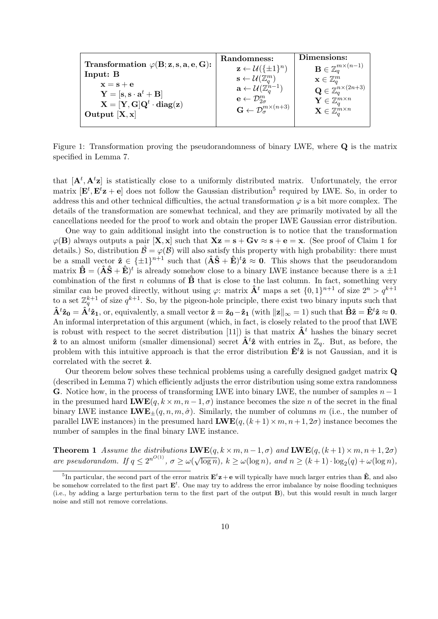|                                                                                        | Randomness:                                                   | Dimensions:                                     |
|----------------------------------------------------------------------------------------|---------------------------------------------------------------|-------------------------------------------------|
| Transformation $\varphi$ (B; z, s, a, e, G):                                           | $\mathbf{z} \leftarrow \mathcal{U}(\{\pm 1\}^n)$              | $\mathbf{B} \in \mathbb{Z}^{m \times (n-1)}_a$  |
| Input: B                                                                               | $\mathbf{s} \leftarrow \mathcal{U}(\mathbb{Z}_a^m)$           | $\mathbf{x} \in \mathbb{Z}_q^m$                 |
| $x = s + e$<br>$\mathbf{Y} = [\mathbf{s}, \mathbf{s} \cdot \mathbf{a}^t + \mathbf{B}]$ | $\mathbf{a} \leftarrow \mathcal{U}(\mathbb{Z}_q^{n-1})$       | $\mathbf{Q} \in \mathbb{Z}_q^{n \times (2n+3)}$ |
| $X = [Y, G]Q^t \cdot diag(z)$                                                          | $\mathbf{e} \leftarrow \mathcal{D}_{2\sigma}^m$               | $\mathbf{Y} \in \mathbb{Z}_a^{m \times n}$      |
| Output $[X, x]$                                                                        | $\mathbf{G} \leftarrow \mathcal{D}_{\sigma}^{m \times (n+3)}$ | $\mathbf{X} \in \mathbb{Z}_a^{m \times n}$      |
|                                                                                        |                                                               |                                                 |

Figure 1: Transformation proving the pseudorandomness of binary LWE, where Q is the matrix specified in Lemma 7.

that  $[A^t, A^t z]$  is statistically close to a uniformly distributed matrix. Unfortunately, the error matrix  $[\mathbf{E}^t, \mathbf{E}^t \mathbf{z} + \mathbf{e}]$  does not follow the Gaussian distribution<sup>5</sup> required by LWE. So, in order to address this and other technical difficulties, the actual transformation  $\varphi$  is a bit more complex. The details of the transformation are somewhat technical, and they are primarily motivated by all the cancellations needed for the proof to work and obtain the proper LWE Gaussian error distribution.

One way to gain additional insight into the construction is to notice that the transformation  $\varphi(\mathbf{B})$  always outputs a pair  $[\mathbf{X}, \mathbf{x}]$  such that  $\mathbf{Xz} = \mathbf{s} + \mathbf{G}\mathbf{v} \approx \mathbf{s} + \mathbf{e} = \mathbf{x}$ . (See proof of Claim 1 for details.) So, distribution  $\hat{\mathcal{B}} = \varphi(\mathcal{B})$  will also satisfy this property with high probability: there must be a small vector  $\hat{\mathbf{z}} \in {\{\pm 1\}}^{n+1}$  such that  $(\hat{\mathbf{A}}\hat{\mathbf{S}} + \hat{\mathbf{E}})^t \hat{\mathbf{z}} \approx \mathbf{0}$ . This shows that the pseudorandom matrix  $\hat{\mathbf{B}} = (\hat{\mathbf{A}}\hat{\mathbf{S}} + \hat{\mathbf{E}})^t$  is already somehow close to a binary LWE instance because there is a  $\pm 1$ combination of the first n columns of  $\hat{B}$  that is close to the last column. In fact, something very similar can be proved directly, without using  $\varphi$ : matrix  $\hat{\mathbf{A}}^t$  maps a set  $\{0,1\}^{n+1}$  of size  $2^n > q^{k+1}$ to a set  $\mathbb{Z}_q^{k+1}$  of size  $q^{k+1}$ . So, by the pigeon-hole principle, there exist two binary inputs such that  $\hat{\mathbf{A}}^t \hat{\mathbf{z}}_0 = \hat{\mathbf{A}}^t \hat{\mathbf{z}}_1$ , or, equivalently, a small vector  $\hat{\mathbf{z}} = \hat{\mathbf{z}}_0 - \hat{\mathbf{z}}_1$  (with  $\|\mathbf{z}\|_{\infty} = 1$ ) such that  $\hat{\mathbf{B}}\hat{\mathbf{z}} = \hat{\mathbf{E}}^t \hat{\mathbf{z}} \approx \mathbf{0}$ . An informal interpretation of this argument (which, in fact, is closely related to the proof that LWE is robust with respect to the secret distribution [11]) is that matrix  $\hat{\mathbf{A}}^t$  hashes the binary secret  $\hat{\mathbf{z}}$  to an almost uniform (smaller dimensional) secret  $\hat{\mathbf{A}}^t\hat{\mathbf{z}}$  with entries in  $\mathbb{Z}_q$ . But, as before, the problem with this intuitive approach is that the error distribution  $\hat{\mathbf{E}}^t\hat{\mathbf{z}}$  is not Gaussian, and it is correlated with the secret  $\hat{z}$ .

Our theorem below solves these technical problems using a carefully designed gadget matrix Q (described in Lemma 7) which efficiently adjusts the error distribution using some extra randomness **G**. Notice how, in the process of transforming LWE into binary LWE, the number of samples  $n-1$ in the presumed hard  $\text{LWE}(q, k \times m, n-1, \sigma)$  instance becomes the size n of the secret in the final binary LWE instance  $\mathbf{LWE}_{\pm}(q, n, m, \hat{\sigma})$ . Similarly, the number of columns m (i.e., the number of parallel LWE instances) in the presumed hard  $\text{LWE}(q, (k+1) \times m, n+1, 2\sigma)$  instance becomes the number of samples in the final binary LWE instance.

**Theorem 1** Assume the distributions  $\mathbf{LWE}(q, k \times m, n-1, \sigma)$  and  $\mathbf{LWE}(q, (k+1) \times m, n+1, 2\sigma)$ are pseudorandom. If  $q \leq 2^{n^{O(1)}}, \sigma \geq \omega$ √  $\overline{\log n}$ ),  $k \ge \omega(\log n)$ , and  $n \ge (k+1) \cdot \log_2(q) + \omega(\log n)$ ,

<sup>&</sup>lt;sup>5</sup>In particular, the second part of the error matrix  $\mathbf{E}^t \mathbf{z} + \mathbf{e}$  will typically have much larger entries than  $\hat{\mathbf{E}}$ , and also be somehow correlated to the first part  $\mathbf{E}^t$ . One may try to address the error imbalance by noise flooding techniques (i.e., by adding a large perturbation term to the first part of the output B), but this would result in much larger noise and still not remove correlations.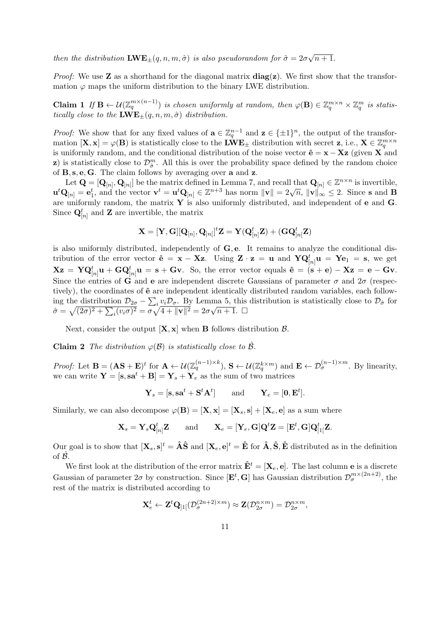then the distribution  $\mathbf{LWE}_{\pm}(q, n, m, \hat{\sigma})$  is also pseudorandom for  $\hat{\sigma} = 2\sigma$ √  $n+1$ .

*Proof:* We use **Z** as a shorthand for the diagonal matrix  $diag(z)$ . We first show that the transformation  $\varphi$  maps the uniform distribution to the binary LWE distribution.

**Claim 1** If  $\mathbf{B} \leftarrow \mathcal{U}(\mathbb{Z}_q^{m \times (n-1)})$  is chosen uniformly at random, then  $\varphi(\mathbf{B}) \in \mathbb{Z}_q^{m \times n} \times \mathbb{Z}_q^m$  is statistically close to the  $\text{LWE}_{\pm}(q, n, m, \hat{\sigma})$  distribution.

*Proof:* We show that for any fixed values of  $\mathbf{a} \in \mathbb{Z}_q^{n-1}$  and  $\mathbf{z} \in \{\pm 1\}^n$ , the output of the transformation  $[X, x] = \varphi(B)$  is statistically close to the  $\mathbf{LWE}_{\pm}$  distribution with secret  $z$ , i.e.,  $X \in \mathbb{Z}_q^{m \times n}$ is uniformly random, and the conditional distribution of the noise vector  $\hat{\mathbf{e}} = \mathbf{x} - \mathbf{Xz}$  (given X and z) is statistically close to  $\mathcal{D}_{\hat{\sigma}}^m$ . All this is over the probability space defined by the random choice of B, s, e, G. The claim follows by averaging over a and z.

Let  $\mathbf{Q} = [\mathbf{Q}_{[n]}, \mathbf{Q}_{[n]}]$  be the matrix defined in Lemma 7, and recall that  $\mathbf{Q}_{[n]} \in \mathbb{Z}^{n \times n}$  is invertible, Let  $\mathbf{Q} = [\mathbf{Q}_{[n]}, \mathbf{Q}_{[n]}]$  be the matrix defined in Lemma *i*, and recall that  $\mathbf{Q}_{[n]} \in \mathbb{Z}$  is invertible,<br> $\mathbf{u}^t \mathbf{Q}_{[n]} = \mathbf{e}_1^t$ , and the vector  $\mathbf{v}^t = \mathbf{u}^t \mathbf{Q}_{[n]} \in \mathbb{Z}^{n+3}$  has norm  $\|\math$ are uniformly random, the matrix  $\mathbf Y$  is also uniformly distributed, and independent of  $\mathbf e$  and  $\mathbf G$ . Since  $\mathbf{Q}_{[n]}^{t}$  and Z are invertible, the matrix

$$
\mathbf{X} = [\mathbf{Y},\mathbf{G}][\mathbf{Q}_{[n]},\mathbf{Q}_{]n[}]^t\mathbf{Z} = \mathbf{Y}(\mathbf{Q}_{[n]}^t\mathbf{Z}) + (\mathbf{G}\mathbf{Q}_{]n[}^t\mathbf{Z})
$$

is also uniformly distributed, independently of  $\bf{G}, \bf{e}$ . It remains to analyze the conditional distribution of the error vector  $\hat{\mathbf{e}} = \mathbf{x} - \mathbf{Xz}$ . Using  $\mathbf{Z} \cdot \mathbf{z} = \mathbf{u}$  and  $\mathbf{YQ}_{[n]}^t \mathbf{u} = \mathbf{Y} \mathbf{e}_1 = \mathbf{s}$ , we get  $Xz = YQ_{[n]}^t u + GQ_{[n]}^t u = s + Gv.$  So, the error vector equals  $\hat{\mathbf{e}} = (\mathbf{s} + \mathbf{e}) - Xz = \mathbf{e} - Gv.$ Since the entries of G and e are independent discrete Gaussians of parameter  $\sigma$  and  $2\sigma$  (respectively), the coordinates of  $\hat{\mathbf{e}}$  are independent identically distributed random variables, each following the distribution  $\mathcal{D}_{2\sigma} - \sum_i v_i \mathcal{D}_{\sigma}$ . By Lemma 5, this distribution is statistically close to  $\mathcal{D}_{\hat{\sigma}}$  for mg the distribution  $D_{2\sigma} - \sum_i v_i D_{\sigma}$ . By Lemma 3, this<br>  $\hat{\sigma} = \sqrt{(2\sigma)^2 + \sum_i (v_i \sigma)^2} = \sigma \sqrt{4 + ||\mathbf{v}||^2} = 2\sigma \sqrt{n+1}$ .

Next, consider the output  $[X, x]$  when **B** follows distribution  $\beta$ .

**Claim 2** The distribution  $\varphi(\mathcal{B})$  is statistically close to  $\mathcal{B}$ .

Proof: Let  $\mathbf{B} = (\mathbf{A}\mathbf{S} + \mathbf{E})^t$  for  $\mathbf{A} \leftarrow \mathcal{U}(\mathbb{Z}_q^{(n-1)\times k})$ ,  $\mathbf{S} \leftarrow \mathcal{U}(\mathbb{Z}_q^{k\times m})$  and  $\mathbf{E} \leftarrow \mathcal{D}_{\sigma}^{(n-1)\times m}$ . By linearity, we can write  $\mathbf{Y} = [\mathbf{s}, \mathbf{s}\mathbf{a}^t + \mathbf{B}] = \mathbf{Y}_s + \mathbf{Y}_e$  as the sum of two matrices

$$
\mathbf{Y}_s = [\mathbf{s}, \mathbf{s}\mathbf{a}^t + \mathbf{S}^t\mathbf{A}^t] \quad \text{and} \quad \mathbf{Y}_e = [\mathbf{0}, \mathbf{E}^t].
$$

Similarly, we can also decompose  $\varphi(\mathbf{B}) = [\mathbf{X}, \mathbf{x}] = [\mathbf{X}_s, \mathbf{s}] + [\mathbf{X}_e, \mathbf{e}]$  as a sum where

$$
\mathbf{X}_s = \mathbf{Y}_s \mathbf{Q}_{[n]}^t \mathbf{Z} \quad \text{and} \quad \mathbf{X}_e = [\mathbf{Y}_e, \mathbf{G}] \mathbf{Q}^t \mathbf{Z} = [\mathbf{E}^t, \mathbf{G}] \mathbf{Q}_{]1[}^t \mathbf{Z}.
$$

Our goal is to show that  $[\mathbf{X}_s, \mathbf{s}]^t = \hat{\mathbf{A}} \hat{\mathbf{S}}$  and  $[\mathbf{X}_e, \mathbf{e}]^t = \hat{\mathbf{E}}$  for  $\hat{\mathbf{A}}, \hat{\mathbf{S}}, \hat{\mathbf{E}}$  distributed as in the definition of  $\mathcal{B}$ .

We first look at the distribution of the error matrix  $\hat{\mathbf{E}}^t = [\mathbf{X}_e, \mathbf{e}]$ . The last column **e** is a discrete Gaussian of parameter  $2\sigma$  by construction. Since  $[\mathbf{E}^t, \mathbf{G}]$  has Gaussian distribution  $\mathcal{D}_{\sigma}^{m \times (2n+2)}$ , the rest of the matrix is distributed according to

$$
\mathbf{X}_{e}^{t} \leftarrow \mathbf{Z}^{t} \mathbf{Q}_{]1[}(\mathcal{D}_{\sigma}^{(2n+2)\times m}) \approx \mathbf{Z}(\mathcal{D}_{2\sigma}^{n\times m}) = \mathcal{D}_{2\sigma}^{n\times m},
$$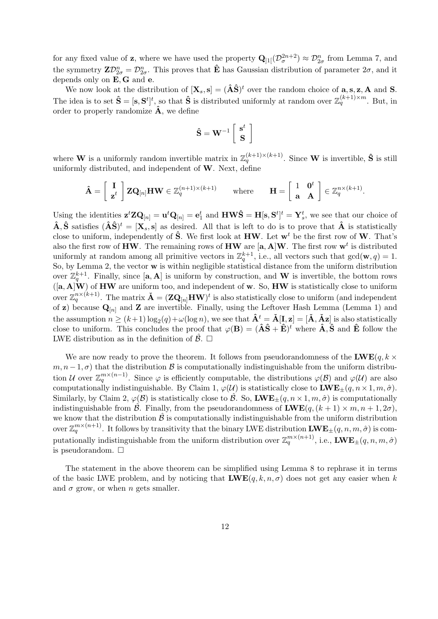for any fixed value of **z**, where we have used the property  $\mathbf{Q}_{11}(\mathcal{D}_{\sigma}^{2n+2}) \approx \mathcal{D}_{2\sigma}^n$  from Lemma 7, and the symmetry  $\mathbf{Z}\mathcal{D}_{2\sigma}^n = \mathcal{D}_{2\sigma}^n$ . This proves that  $\hat{\mathbf{E}}$  has Gaussian distribution of parameter  $2\sigma$ , and it depends only on E, G and e.

We now look at the distribution of  $[\mathbf{X}_s, \mathbf{s}] = (\hat{\mathbf{A}}\hat{\mathbf{S}})^t$  over the random choice of  $\mathbf{a}, \mathbf{s}, \mathbf{z}, \mathbf{A}$  and **S**. The idea is to set  $\hat{\mathbf{S}} = [\mathbf{s}, \mathbf{S}^t]^t$ , so that  $\hat{\mathbf{S}}$  is distributed uniformly at random over  $\mathbb{Z}_q^{(k+1)\times m}$ . But, in order to properly randomize  $\hat{A}$ , we define

$$
\mathbf{\hat{S}=W}^{-1}\left[\begin{array}{c} \mathbf{s}^t \\ \mathbf{S} \end{array}\right]
$$

where **W** is a uniformly random invertible matrix in  $\mathbb{Z}_q^{(k+1)\times (k+1)}$ . Since **W** is invertible,  $\hat{\mathbf{S}}$  is still uniformly distributed, and independent of  $W$ . Next, define

$$
\hat{\mathbf{A}} = \begin{bmatrix} \mathbf{I} \\ \mathbf{z}^t \end{bmatrix} \mathbf{Z} \mathbf{Q}_{[n]} \mathbf{H} \mathbf{W} \in \mathbb{Z}_q^{(n+1)\times (k+1)} \quad \text{where} \quad \mathbf{H} = \begin{bmatrix} 1 & \mathbf{0}^t \\ \mathbf{a} & \mathbf{A} \end{bmatrix} \in \mathbb{Z}_q^{n\times (k+1)}.
$$

Using the identities  $\mathbf{z}^t \mathbf{Z} \mathbf{Q}_{[n]} = \mathbf{u}^t \mathbf{Q}_{[n]} = \mathbf{e}_1^t$  and  $\mathbf{H} \mathbf{W} \hat{\mathbf{S}} = \mathbf{H}[\mathbf{s}, \mathbf{S}^t]^t = \mathbf{Y}_s^t$ , we see that our choice of  $\hat{\mathbf{A}}, \hat{\mathbf{S}}$  satisfies  $(\hat{\mathbf{A}}\hat{\mathbf{S}})^t = [\mathbf{X}_s, \mathbf{s}]$  as desired. All that is left to do is to prove that  $\hat{\mathbf{A}}$  is statistically close to uniform, independently of  $\hat{S}$ . We first look at HW. Let  $w^t$  be the first row of W. That's also the first row of HW. The remaining rows of HW are  $[a, A]$ W. The first row  $w<sup>t</sup>$  is distributed uniformly at random among all primitive vectors in  $\mathbb{Z}_q^{k+1}$ , i.e., all vectors such that  $gcd(\mathbf{w}, q) = 1$ . So, by Lemma 2, the vector w is within negligible statistical distance from the uniform distribution over  $\mathbb{Z}_q^{k+1}$ . Finally, since  $[\mathbf{a}, \mathbf{A}]$  is uniform by construction, and W is invertible, the bottom rows  $([a, A]W)$  of HW are uniform too, and independent of w. So, HW is statistically close to uniform over  $\mathbb{Z}_q^{n\times (k+1)}$ . The matrix  $\check{\mathbf{A}} = (\mathbf{Z}\mathbf{Q}_{[n]}\mathbf{HW})^t$  is also statistically close to uniform (and independent of z) because  $\mathbf{Q}_{[n]}$  and Z are invertible. Finally, using the Leftover Hash Lemma (Lemma 1) and the assumption  $n \ge (k+1) \log_2(q) + \omega(\log n)$ , we see that  $\mathbf{\hat{A}}^t = \mathbf{\check{A}}[\mathbf{I}, \mathbf{z}] = [\mathbf{\check{A}}, \mathbf{\check{A}}\mathbf{z}]$  is also statistically close to uniform. This concludes the proof that  $\varphi(\mathbf{B}) = (\hat{\mathbf{A}}\hat{\mathbf{S}} + \hat{\mathbf{E}})^t$  where  $\hat{\mathbf{A}}$ ,  $\hat{\mathbf{S}}$  and  $\hat{\mathbf{E}}$  follow the LWE distribution as in the definition of  $\hat{\mathcal{B}}$ .  $\Box$ 

We are now ready to prove the theorem. It follows from pseudorandomness of the  $\mathbf{LWE}(q, k \times$  $m, n-1, \sigma$ ) that the distribution B is computationally indistinguishable from the uniform distribution U over  $\mathbb{Z}_q^{m \times (n-1)}$ . Since  $\varphi$  is efficiently computable, the distributions  $\varphi(\mathcal{B})$  and  $\varphi(\mathcal{U})$  are also computationally indistinguishable. By Claim 1,  $\varphi(\mathcal{U})$  is statistically close to  $\mathbf{LWE}_{\pm}(q, n \times 1, m, \hat{\sigma})$ . Similarly, by Claim 2,  $\varphi(\mathcal{B})$  is statistically close to  $\hat{\mathcal{B}}$ . So, **LWE**+ $(q, n \times 1, m, \hat{\sigma})$  is computationally indistinguishable from  $\hat{\mathcal{B}}$ . Finally, from the pseudorandomness of  $\mathbf{LWE}(q, (k+1) \times m, n+1, 2\sigma)$ , we know that the distribution  $\hat{\mathcal{B}}$  is computationally indistinguishable from the uniform distribution over  $\mathbb{Z}_q^{m\times (n+1)}$ . It follows by transitivity that the binary LWE distribution  $\mathbf{LWE}_{\pm}(q,n,m,\hat{\sigma})$  is computationally indistinguishable from the uniform distribution over  $\mathbb{Z}_q^{m\times (n+1)}$ , i.e.,  $\mathbf{LWE}_{\pm}(q,n,m,\hat{\sigma})$ is pseudorandom.  $\square$ 

The statement in the above theorem can be simplified using Lemma 8 to rephrase it in terms of the basic LWE problem, and by noticing that  $\mathbf{LWE}(q, k, n, \sigma)$  does not get any easier when k and  $\sigma$  grow, or when *n* gets smaller.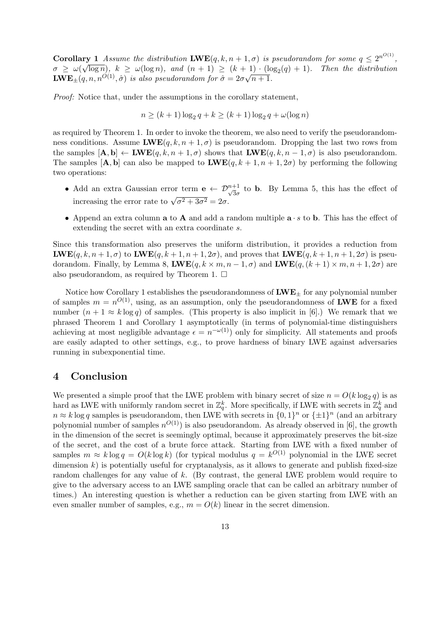**Corollary 1** Assume the distribution  $\mathbf{LWE}(q, k, n+1, \sigma)$  is pseudorandom for some  $q \leq 2^{n^{O(1)}},$  $\sigma \geq \omega(\sqrt{\log n}), k \geq \omega(\log n),$  and  $(n+1) \geq (k+1) \cdot (\log_2(q)+1)$ . Then the distribution  $\mathbf{LWE}_{\pm}(q,n,n^{O(1)},\hat{\sigma})$  is also pseudorandom for  $\hat{\sigma}=2\sigma\sqrt{n+1}$ .

Proof: Notice that, under the assumptions in the corollary statement,

$$
n \ge (k+1)\log_2 q + k \ge (k+1)\log_2 q + \omega(\log n)
$$

as required by Theorem 1. In order to invoke the theorem, we also need to verify the pseudorandomness conditions. Assume  $\mathbf{LWE}(q, k, n+1, \sigma)$  is pseudorandom. Dropping the last two rows from the samples  $[\mathbf{A}, \mathbf{b}] \leftarrow \mathbf{LWE}(q, k, n+1, \sigma)$  shows that  $\mathbf{LWE}(q, k, n-1, \sigma)$  is also pseudorandom. The samples  $[\mathbf{A}, \mathbf{b}]$  can also be mapped to  $\mathbf{LWE}(q, k+1, n+1, 2\sigma)$  by performing the following two operations:

- Add an extra Gaussian error term  $e \leftarrow \mathcal{D}_{\sqrt{3}\sigma}^{n+1}$  to b. By Lemma 5, this has the effect of increasing the error rate to  $\sqrt{\sigma^2 + 3\sigma^2} = 2\sigma$ .
- Append an extra column **a** to **A** and add a random multiple  $\mathbf{a} \cdot s$  to **b**. This has the effect of extending the secret with an extra coordinate s.

Since this transformation also preserves the uniform distribution, it provides a reduction from  $\text{LWE}(q, k, n+1, \sigma)$  to  $\text{LWE}(q, k+1, n+1, 2\sigma)$ , and proves that  $\text{LWE}(q, k+1, n+1, 2\sigma)$  is pseudorandom. Finally, by Lemma 8,  $\mathbf{LWE}(q, k \times m, n-1, \sigma)$  and  $\mathbf{LWE}(q, (k+1) \times m, n+1, 2\sigma)$  are also pseudorandom, as required by Theorem 1.  $\Box$ 

Notice how Corollary 1 establishes the pseudorandomness of  $\mathbf{LWE}_{+}$  for any polynomial number of samples  $m = n^{O(1)}$ , using, as an assumption, only the pseudorandomness of LWE for a fixed number  $(n + 1 \approx k \log q)$  of samples. (This property is also implicit in [6].) We remark that we phrased Theorem 1 and Corollary 1 asymptotically (in terms of polynomial-time distinguishers achieving at most negligible advantage  $\epsilon = n^{-\omega(1)}$  only for simplicity. All statements and proofs are easily adapted to other settings, e.g., to prove hardness of binary LWE against adversaries running in subexponential time.

### 4 Conclusion

We presented a simple proof that the LWE problem with binary secret of size  $n = O(k \log_2 q)$  is as hard as LWE with uniformly random secret in  $\mathbb{Z}_q^k$ . More specifically, if LWE with secrets in  $\mathbb{Z}_q^k$  and  $n \approx k \log q$  samples is pseudorandom, then LWE with secrets in  $\{0,1\}^n$  or  $\{\pm 1\}^n$  (and an arbitrary polynomial number of samples  $n^{O(1)}$  is also pseudorandom. As already observed in [6], the growth in the dimension of the secret is seemingly optimal, because it approximately preserves the bit-size of the secret, and the cost of a brute force attack. Starting from LWE with a fixed number of samples  $m \approx k \log q = O(k \log k)$  (for typical modulus  $q = k^{O(1)}$  polynomial in the LWE secret dimension  $k$ ) is potentially useful for cryptanalysis, as it allows to generate and publish fixed-size random challenges for any value of k. (By contrast, the general LWE problem would require to give to the adversary access to an LWE sampling oracle that can be called an arbitrary number of times.) An interesting question is whether a reduction can be given starting from LWE with an even smaller number of samples, e.g.,  $m = O(k)$  linear in the secret dimension.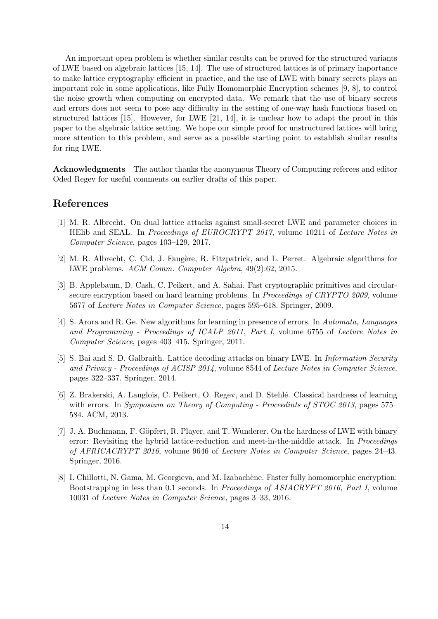An important open problem is whether similar results can be proved for the structured variants of LWE based on algebraic lattices [15, 14]. The use of structured lattices is of primary importance to make lattice cryptography efficient in practice, and the use of LWE with binary secrets plays an important role in some applications, like Fully Homomorphic Encryption schemes [9, 8], to control the noise growth when computing on encrypted data. We remark that the use of binary secrets and errors does not seem to pose any difficulty in the setting of one-way hash functions based on structured lattices [15]. However, for LWE [21, 14], it is unclear how to adapt the proof in this paper to the algebraic lattice setting. We hope our simple proof for unstructured lattices will bring more attention to this problem, and serve as a possible starting point to establish similar results for ring LWE.

Acknowledgments The author thanks the anonymous Theory of Computing referees and editor Oded Regev for useful comments on earlier drafts of this paper.

# References

- [1] M. R. Albrecht. On dual lattice attacks against small-secret LWE and parameter choices in HElib and SEAL. In *Proceedings of EUROCRYPT 2017*, volume 10211 of *Lecture Notes in* Computer Science, pages 103–129, 2017.
- [2] M. R. Albrecht, C. Cid, J. Faugère, R. Fitzpatrick, and L. Perret. Algebraic algorithms for LWE problems. ACM Comm. Computer Algebra, 49(2):62, 2015.
- [3] B. Applebaum, D. Cash, C. Peikert, and A. Sahai. Fast cryptographic primitives and circularsecure encryption based on hard learning problems. In Proceedings of CRYPTO 2009, volume 5677 of Lecture Notes in Computer Science, pages 595–618. Springer, 2009.
- [4] S. Arora and R. Ge. New algorithms for learning in presence of errors. In Automata, Languages and Programming - Proceedings of ICALP 2011, Part I, volume 6755 of Lecture Notes in Computer Science, pages 403–415. Springer, 2011.
- [5] S. Bai and S. D. Galbraith. Lattice decoding attacks on binary LWE. In Information Security and Privacy - Proceedings of ACISP 2014, volume 8544 of Lecture Notes in Computer Science, pages 322–337. Springer, 2014.
- [6] Z. Brakerski, A. Langlois, C. Peikert, O. Regev, and D. Stehl´e. Classical hardness of learning with errors. In Symposium on Theory of Computing - Proceedints of STOC 2013, pages 575– 584. ACM, 2013.
- [7] J. A. Buchmann, F. Göpfert, R. Player, and T. Wunderer. On the hardness of LWE with binary error: Revisiting the hybrid lattice-reduction and meet-in-the-middle attack. In Proceedings of AFRICACRYPT 2016, volume 9646 of Lecture Notes in Computer Science, pages 24–43. Springer, 2016.
- [8] I. Chillotti, N. Gama, M. Georgieva, and M. Izabachène. Faster fully homomorphic encryption: Bootstrapping in less than 0.1 seconds. In Proceedings of ASIACRYPT 2016, Part I, volume 10031 of Lecture Notes in Computer Science, pages 3–33, 2016.